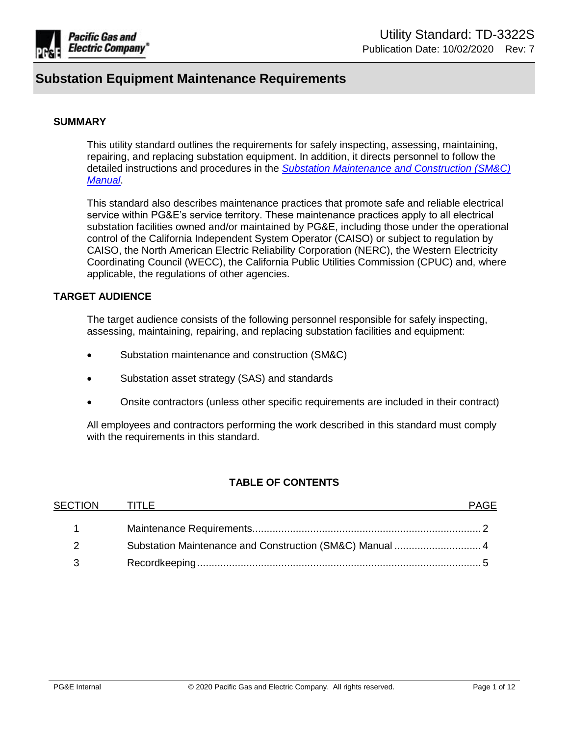

## **SUMMARY**

This utility standard outlines the requirements for safely inspecting, assessing, maintaining, repairing, and replacing substation equipment. In addition, it directs personnel to follow the detailed instructions and procedures in the *[Substation Maintenance and Construction \(SM&C\)](https://ecmappwlsp01c2.comp.pge.com/TILVIEWER?chronicleId=09131aad80e0640c&vd=true&device=false)  [Manual](https://ecmappwlsp01c2.comp.pge.com/TILVIEWER?chronicleId=09131aad80e0640c&vd=true&device=false)*.

This standard also describes maintenance practices that promote safe and reliable electrical service within PG&E's service territory. These maintenance practices apply to all electrical substation facilities owned and/or maintained by PG&E, including those under the operational control of the California Independent System Operator (CAISO) or subject to regulation by CAISO, the North American Electric Reliability Corporation (NERC), the Western Electricity Coordinating Council (WECC), the California Public Utilities Commission (CPUC) and, where applicable, the regulations of other agencies.

## **TARGET AUDIENCE**

The target audience consists of the following personnel responsible for safely inspecting, assessing, maintaining, repairing, and replacing substation facilities and equipment:

- Substation maintenance and construction (SM&C)
- Substation asset strategy (SAS) and standards
- Onsite contractors (unless other specific requirements are included in their contract)

All employees and contractors performing the work described in this standard must comply with the requirements in this standard.

# **TABLE OF CONTENTS**

| <b>SECTION</b> | <b>TITLE</b>                                             | <b>PAGE</b> |
|----------------|----------------------------------------------------------|-------------|
|                |                                                          |             |
|                | Substation Maintenance and Construction (SM&C) Manual  4 |             |
|                |                                                          |             |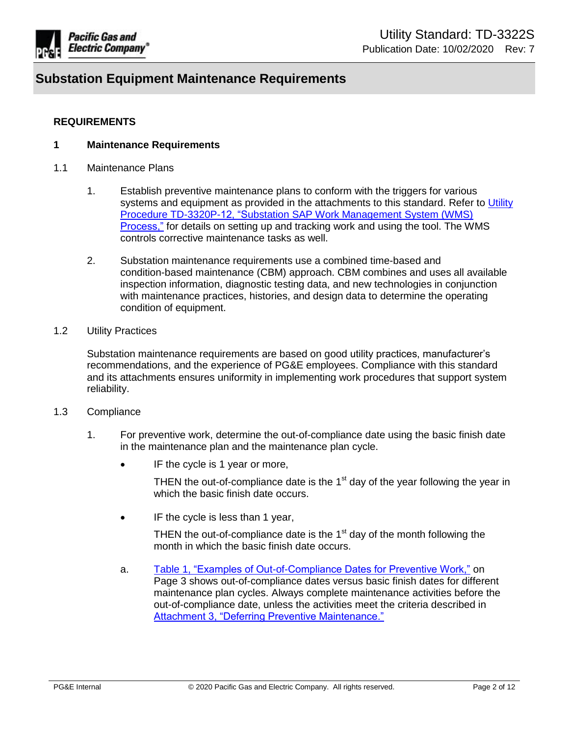

## **REQUIREMENTS**

## <span id="page-1-0"></span>**1 Maintenance Requirements**

- 1.1 Maintenance Plans
	- 1. Establish preventive maintenance plans to conform with the triggers for various systems and equipment as provided in the attachments to this standard. Refer to Utility [Procedure TD-3320P-12, "Substation SAP Work Management System \(WMS\)](https://ecmappwlsp01c2.comp.pge.com/TILVIEWER?chronicleId=09131aad80dfd10f&vd=true&device=false)  [Process,"](https://ecmappwlsp01c2.comp.pge.com/TILVIEWER?chronicleId=09131aad80dfd10f&vd=true&device=false) for details on setting up and tracking work and using the tool. The WMS controls corrective maintenance tasks as well.
	- 2. Substation maintenance requirements use a combined time-based and condition-based maintenance (CBM) approach. CBM combines and uses all available inspection information, diagnostic testing data, and new technologies in conjunction with maintenance practices, histories, and design data to determine the operating condition of equipment.
- 1.2 Utility Practices

Substation maintenance requirements are based on good utility practices, manufacturer's recommendations, and the experience of PG&E employees. Compliance with this standard and its attachments ensures uniformity in implementing work procedures that support system reliability.

- 1.3 Compliance
	- 1. For preventive work, determine the out-of-compliance date using the basic finish date in the maintenance plan and the maintenance plan cycle.
		- IF the cycle is 1 year or more,

THEN the out-of-compliance date is the  $1<sup>st</sup>$  day of the year following the year in which the basic finish date occurs.

• IF the cycle is less than 1 year,

THEN the out-of-compliance date is the  $1<sup>st</sup>$  day of the month following the month in which the basic finish date occurs.

a. [Table 1, "Examples of Out-of-Compliance Dates for Preventive Work,"](#page-2-0) on Page 3 shows out-of-compliance dates versus basic finish dates for different maintenance plan cycles. Always complete maintenance activities before the out-of-compliance date, unless the activities meet the criteria described in [Attachment 3, "Deferring Preventive Maintenance."](https://ecmappwlsp01c2.comp.pge.com/TILVIEWER?chronicleId=09131aad80e01cc0&vd=false&device=false)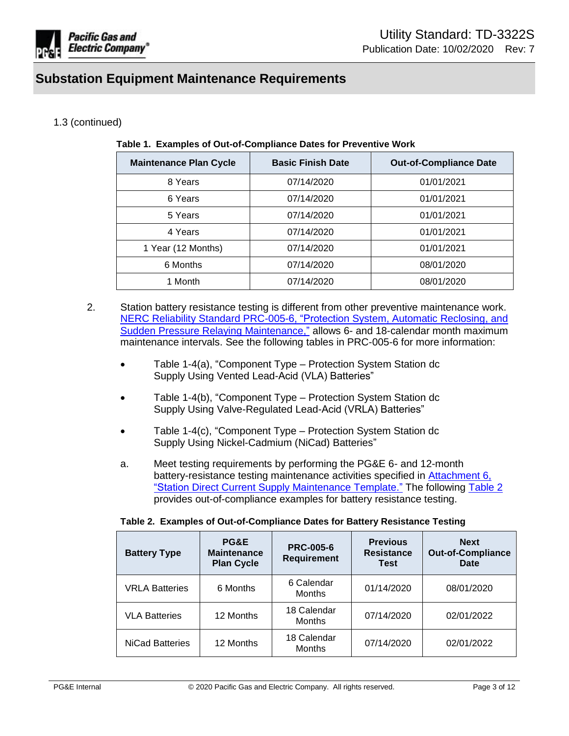

# <span id="page-2-0"></span>1.3 (continued)

| <b>Maintenance Plan Cycle</b> | <b>Basic Finish Date</b> | <b>Out-of-Compliance Date</b> |
|-------------------------------|--------------------------|-------------------------------|
| 8 Years                       | 07/14/2020               | 01/01/2021                    |
| 6 Years                       | 07/14/2020               | 01/01/2021                    |
| 5 Years                       | 07/14/2020               | 01/01/2021                    |
| 4 Years                       | 07/14/2020               | 01/01/2021                    |
| 1 Year (12 Months)            | 07/14/2020               | 01/01/2021                    |
| 6 Months                      | 07/14/2020               | 08/01/2020                    |
| 1 Month                       | 07/14/2020               | 08/01/2020                    |

- 2. Station battery resistance testing is different from other preventive maintenance work. [NERC Reliability Standard PRC-005-6, "Protection System, Automatic Reclosing, and](https://www.nerc.com/_layouts/15/PrintStandard.aspx?standardnumber=PRC-005-6&title=Protection%20System,%20Automatic%20Reclosing,%20and%20Sudden%20Pressure%20Relaying&jurisdiction=United%20States)  [Sudden Pressure Relaying Maintenance,"](https://www.nerc.com/_layouts/15/PrintStandard.aspx?standardnumber=PRC-005-6&title=Protection%20System,%20Automatic%20Reclosing,%20and%20Sudden%20Pressure%20Relaying&jurisdiction=United%20States) allows 6- and 18-calendar month maximum maintenance intervals. See the following tables in PRC-005-6 for more information:
	- Table 1-4(a), "Component Type Protection System Station dc Supply Using Vented Lead-Acid (VLA) Batteries"
	- Table 1-4(b), "Component Type Protection System Station dc Supply Using Valve-Regulated Lead-Acid (VRLA) Batteries"
	- Table 1-4(c), "Component Type Protection System Station dc Supply Using Nickel-Cadmium (NiCad) Batteries"
	- a. Meet testing requirements by performing the PG&E 6- and 12-month battery-resistance testing maintenance activities specified in [Attachment 6,](https://ecmappwlsp01c2.comp.pge.com/TILVIEWER/d2Redirection/09131aad80dfca43/false)  ["Station Direct Current Supply Maintenance Template."](https://ecmappwlsp01c2.comp.pge.com/TILVIEWER/d2Redirection/09131aad80dfca43/false) The following [Table 2](#page-2-1) provides out-of-compliance examples for battery resistance testing.

<span id="page-2-1"></span>

| <b>Battery Type</b>    | <b>PG&amp;E</b><br><b>Maintenance</b><br><b>Plan Cycle</b> | <b>PRC-005-6</b><br><b>Requirement</b> | <b>Previous</b><br><b>Resistance</b><br>Test | <b>Next</b><br><b>Out-of-Compliance</b><br>Date |
|------------------------|------------------------------------------------------------|----------------------------------------|----------------------------------------------|-------------------------------------------------|
| <b>VRLA Batteries</b>  | 6 Months                                                   | 6 Calendar<br><b>Months</b>            | 01/14/2020                                   | 08/01/2020                                      |
| <b>VLA Batteries</b>   | 12 Months                                                  | 18 Calendar<br><b>Months</b>           | 07/14/2020                                   | 02/01/2022                                      |
| <b>NiCad Batteries</b> | 12 Months                                                  | 18 Calendar<br><b>Months</b>           | 07/14/2020                                   | 02/01/2022                                      |

|  |  |  | Table 2. Examples of Out-of-Compliance Dates for Battery Resistance Testing |  |
|--|--|--|-----------------------------------------------------------------------------|--|
|  |  |  |                                                                             |  |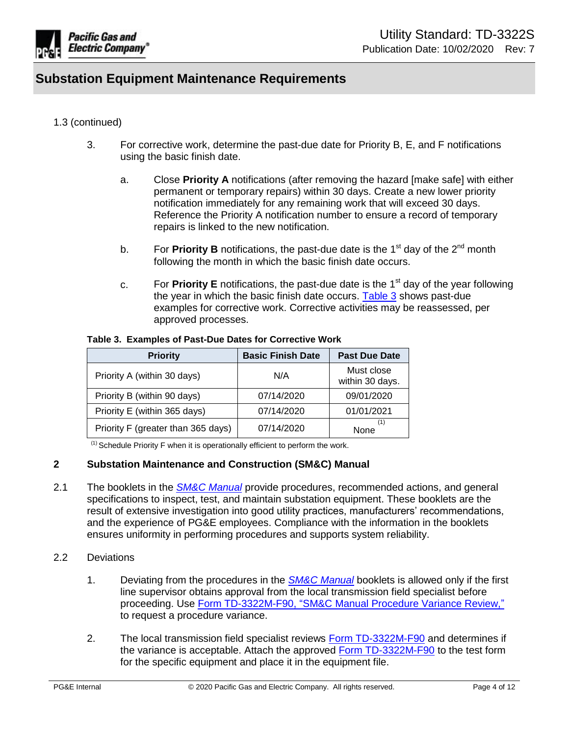

## 1.3 (continued)

- 3. For corrective work, determine the past-due date for Priority B, E, and F notifications using the basic finish date.
	- a. Close **Priority A** notifications (after removing the hazard [make safe] with either permanent or temporary repairs) within 30 days. Create a new lower priority notification immediately for any remaining work that will exceed 30 days. Reference the Priority A notification number to ensure a record of temporary repairs is linked to the new notification.
	- b. For **Priority B** notifications, the past-due date is the  $1<sup>st</sup>$  day of the  $2<sup>nd</sup>$  month following the month in which the basic finish date occurs.
	- c. For **Priority E** notifications, the past-due date is the 1st day of the year following the year in which the basic finish date occurs. [Table 3](#page-3-1) shows past-due examples for corrective work. Corrective activities may be reassessed, per approved processes.

| <b>Priority</b>                    | <b>Basic Finish Date</b> | <b>Past Due Date</b>          |
|------------------------------------|--------------------------|-------------------------------|
| Priority A (within 30 days)        | N/A                      | Must close<br>within 30 days. |
| Priority B (within 90 days)        | 07/14/2020               | 09/01/2020                    |
| Priority E (within 365 days)       | 07/14/2020               | 01/01/2021                    |
| Priority F (greater than 365 days) | 07/14/2020               | (1)<br>None                   |

#### <span id="page-3-1"></span>**Table 3. Examples of Past-Due Dates for Corrective Work**

 $<sup>(1)</sup>$  Schedule Priority F when it is operationally efficient to perform the work.</sup>

### <span id="page-3-0"></span>**2 Substation Maintenance and Construction (SM&C) Manual**

2.1 The booklets in the *[SM&C Manual](https://ecmappwlsp01c2.comp.pge.com/TILVIEWER?chronicleId=09131aad80e0640c&vd=true&device=false)* provide procedures, recommended actions, and general specifications to inspect, test, and maintain substation equipment. These booklets are the result of extensive investigation into good utility practices, manufacturers' recommendations, and the experience of PG&E employees. Compliance with the information in the booklets ensures uniformity in performing procedures and supports system reliability.

# 2.2 Deviations

- 1. Deviating from the procedures in the *[SM&C Manual](https://ecmappwlsp01c2.comp.pge.com/TILVIEWER?chronicleId=09131aad80e0640c&vd=true&device=false)* booklets is allowed only if the first line supervisor obtains approval from the local transmission field specialist before proceeding. Use [Form TD-3322M-F90, "SM&C Manual Procedure Variance Review,"](https://ecmappwlsp01c2.comp.pge.com/TILVIEWER?chronicleId=09131aad83c548fd&vd=false&device=false) to request a procedure variance.
- 2. The local transmission field specialist reviews [Form TD-3322M-F90](https://ecmappwlsp01c2.comp.pge.com/TILVIEWER/d2Redirection/09131aad83c548fd/false) and determines if the variance is acceptable. Attach the approved [Form TD-3322M-F90](https://ecmappwlsp01c2.comp.pge.com/TILVIEWER/d2Redirection/09131aad83c548fd/false) to the test form for the specific equipment and place it in the equipment file.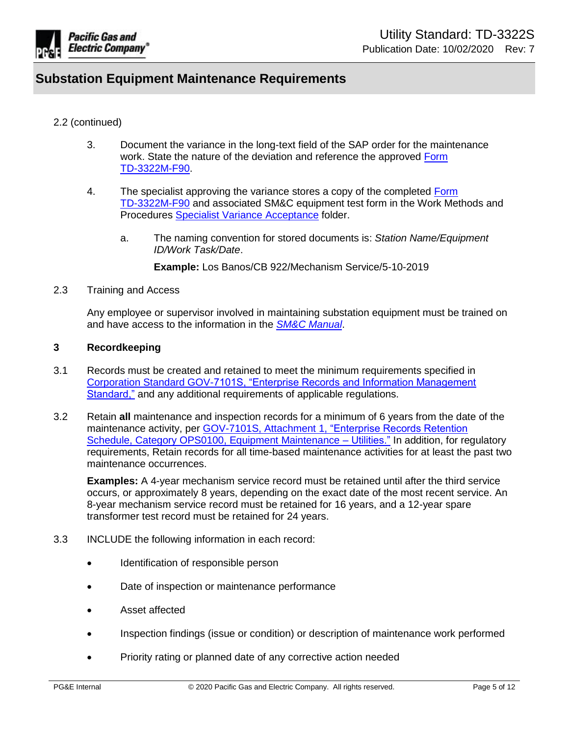

## 2.2 (continued)

- 3. Document the variance in the long-text field of the SAP order for the maintenance work. State the nature of the deviation and reference the approved [Form](https://ecmappwlsp01c2.comp.pge.com/TILVIEWER/d2Redirection/09131aad83c548fd/false)  [TD-3322M-F90.](https://ecmappwlsp01c2.comp.pge.com/TILVIEWER/d2Redirection/09131aad83c548fd/false)
- 4. The specialist approving the variance stores a copy of the completed [Form](https://ecmappwlsp01c2.comp.pge.com/TILVIEWER/d2Redirection/09131aad83c548fd/false)  [TD-3322M-F90](https://ecmappwlsp01c2.comp.pge.com/TILVIEWER/d2Redirection/09131aad83c548fd/false) and associated SM&C equipment test form in the Work Methods and Procedures [Specialist Variance Acceptance](https://sps.utility.pge.com/sites/EOsub/WorkMethodsandProcedures/Shared%20Documents/Forms/AllItems.aspx) folder.
	- a. The naming convention for stored documents is: *Station Name/Equipment ID/Work Task/Date*.

**Example:** Los Banos/CB 922/Mechanism Service/5-10-2019

#### 2.3 Training and Access

Any employee or supervisor involved in maintaining substation equipment must be trained on and have access to the information in the *[SM&C Manual](https://ecmappwlsp01c2.comp.pge.com/TILVIEWER?chronicleId=09131aad80e0640c&vd=true&device=false)*.

### <span id="page-4-0"></span>**3 Recordkeeping**

- 3.1 Records must be created and retained to meet the minimum requirements specified in [Corporation Standard GOV-7101S, "Enterprise Records and Information Management](https://edrm.comp.pge.com/D2/servlet/Download?auth=basic&event_name=open&version=CURRENT&id=09131aad892834e3&format=pdf&_docbase=pge_ecm)  [Standard,"](https://edrm.comp.pge.com/D2/servlet/Download?auth=basic&event_name=open&version=CURRENT&id=09131aad892834e3&format=pdf&_docbase=pge_ecm) and any additional requirements of applicable regulations.
- 3.2 Retain **all** maintenance and inspection records for a minimum of 6 years from the date of the maintenance activity, per [GOV-7101S, Attachment 1, "Enterprise Records Retention](https://edrm.comp.pge.com/D2/servlet/Download?auth=basic&event_name=open&version=CURRENT&id=09131aad89280a99&format=pdf&_docbase=pge_ecm)  [Schedule, Category OPS0100, Equipment Maintenance –](https://edrm.comp.pge.com/D2/servlet/Download?auth=basic&event_name=open&version=CURRENT&id=09131aad89280a99&format=pdf&_docbase=pge_ecm) Utilities." In addition, for regulatory requirements, Retain records for all time-based maintenance activities for at least the past two maintenance occurrences.

**Examples:** A 4-year mechanism service record must be retained until after the third service occurs, or approximately 8 years, depending on the exact date of the most recent service. An 8-year mechanism service record must be retained for 16 years, and a 12-year spare transformer test record must be retained for 24 years.

- 3.3 INCLUDE the following information in each record:
	- Identification of responsible person
	- Date of inspection or maintenance performance
	- Asset affected
	- Inspection findings (issue or condition) or description of maintenance work performed
	- Priority rating or planned date of any corrective action needed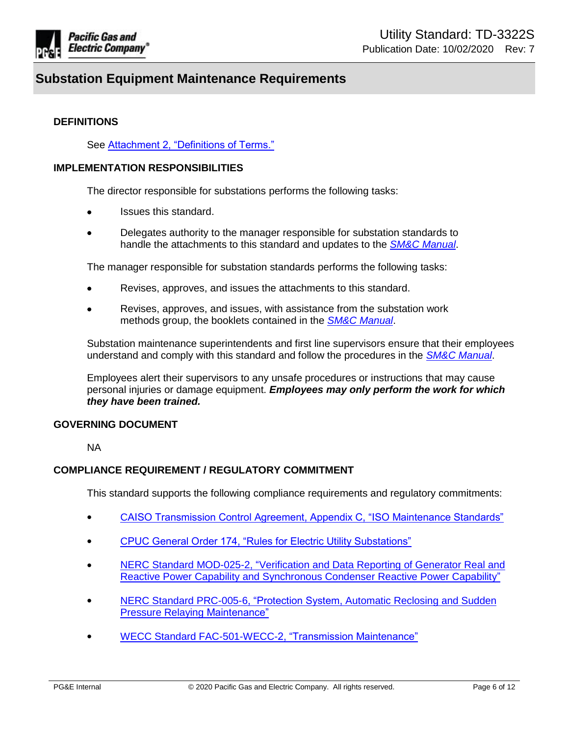

## **DEFINITIONS**

See [Attachment 2, "Definitions of Terms."](https://ecmappwlsp01c2.comp.pge.com/TILVIEWER/d2Redirection/09131aad80e0986e/false)

### **IMPLEMENTATION RESPONSIBILITIES**

The director responsible for substations performs the following tasks:

- Issues this standard.
- Delegates authority to the manager responsible for substation standards to handle the attachments to this standard and updates to the *[SM&C Manual](https://ecmappwlsp01c2.comp.pge.com/TILVIEWER?chronicleId=09131aad80e0640c&vd=true&device=false)*.

The manager responsible for substation standards performs the following tasks:

- Revises, approves, and issues the attachments to this standard.
- Revises, approves, and issues, with assistance from the substation work methods group, the booklets contained in the *[SM&C Manual](https://ecmappwlsp01c2.comp.pge.com/TILVIEWER?chronicleId=09131aad80e0640c&vd=true&device=false)*.

Substation maintenance superintendents and first line supervisors ensure that their employees understand and comply with this standard and follow the procedures in the *[SM&C Manual](https://ecmappwlsp01c2.comp.pge.com/TILVIEWER?chronicleId=09131aad80e0640c&vd=true&device=false)*.

Employees alert their supervisors to any unsafe procedures or instructions that may cause personal injuries or damage equipment. *Employees may only perform the work for which they have been trained.*

## **GOVERNING DOCUMENT**

NA

## **COMPLIANCE REQUIREMENT / REGULATORY COMMITMENT**

This standard supports the following compliance requirements and regulatory commitments:

- [CAISO Transmission Control Agreement, Appendix C, "ISO Maintenance Standards"](http://www.caiso.com/Documents/AttachmentC_theTransmissionControlAgreement_31-Aug-04.pdf)
- **[CPUC General Order 174, "Rules for Electric Utility Substations"](http://docs.cpuc.ca.gov/PublishedDocs/Published/G000/M031/K879/31879476.PDF)**
- [NERC Standard MOD-025-2, "Verification and Data Reporting of Generator Real and](https://www.nerc.com/_layouts/15/PrintStandard.aspx?standardnumber=MOD-025-2&title=Verification%20and%20Data%20Reporting%20of%20Generator%20Real%20and%20Reactive%20Power%20Capability%20and%20Synchronous%20Condenser%20Reactive%20Power%20Capability&jurisdiction=United%20States)  [Reactive Power Capability and Synchronous Condenser Reactive Power Capability"](https://www.nerc.com/_layouts/15/PrintStandard.aspx?standardnumber=MOD-025-2&title=Verification%20and%20Data%20Reporting%20of%20Generator%20Real%20and%20Reactive%20Power%20Capability%20and%20Synchronous%20Condenser%20Reactive%20Power%20Capability&jurisdiction=United%20States)
- [NERC Standard PRC-005-6, "Protection System, Automatic Reclosing and Sudden](https://www.nerc.com/_layouts/15/PrintStandard.aspx?standardnumber=PRC-005-6&title=Protection%20System,%20Automatic%20Reclosing,%20and%20Sudden%20Pressure%20Relaying&jurisdiction=United%20States)  [Pressure Relaying Maintenance"](https://www.nerc.com/_layouts/15/PrintStandard.aspx?standardnumber=PRC-005-6&title=Protection%20System,%20Automatic%20Reclosing,%20and%20Sudden%20Pressure%20Relaying&jurisdiction=United%20States)
- [WECC Standard FAC-501-WECC-2, "Transmission Maintenance"](https://www.wecc.org/Reliability/FAC-501-WECC-2.pdf)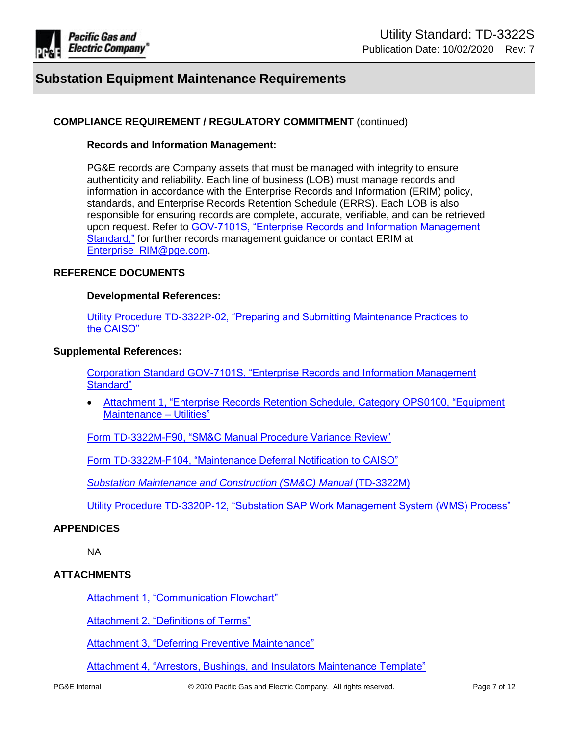

## **COMPLIANCE REQUIREMENT / REGULATORY COMMITMENT** (continued)

#### **Records and Information Management:**

PG&E records are Company assets that must be managed with integrity to ensure authenticity and reliability. Each line of business (LOB) must manage records and information in accordance with the Enterprise Records and Information (ERIM) policy, standards, and Enterprise Records Retention Schedule (ERRS). Each LOB is also responsible for ensuring records are complete, accurate, verifiable, and can be retrieved upon request. Refer to [GOV-7101S, "Enterprise Records and Information Management](https://edrm.comp.pge.com/D2/servlet/Download?auth=basic&event_name=open&version=CURRENT&id=09131aad892834e3&format=pdf&_docbase=pge_ecm)  [Standard,"](https://edrm.comp.pge.com/D2/servlet/Download?auth=basic&event_name=open&version=CURRENT&id=09131aad892834e3&format=pdf&_docbase=pge_ecm) for further records management guidance or contact ERIM at [Enterprise\\_RIM@pge.com.](mailto:Enterprise_RIM@pge.com)

#### **REFERENCE DOCUMENTS**

#### **Developmental References:**

[Utility Procedure TD-3322P-02, "Preparing and Submitting Maintenance Practices to](https://ecmappwlsp01c2.comp.pge.com/TILVIEWER/d2Redirection/09131aad80e02400/false)  [the CAISO"](https://ecmappwlsp01c2.comp.pge.com/TILVIEWER/d2Redirection/09131aad80e02400/false)

#### **Supplemental References:**

[Corporation Standard GOV-7101S, "Enterprise Records and Information Management](https://edrm.comp.pge.com/D2/servlet/Download?auth=basic&event_name=open&version=CURRENT&id=09131aad892834e3&format=pdf&_docbase=pge_ecm)  [Standard"](https://edrm.comp.pge.com/D2/servlet/Download?auth=basic&event_name=open&version=CURRENT&id=09131aad892834e3&format=pdf&_docbase=pge_ecm)

 [Attachment 1, "Enterprise Records Retention Schedule, Category OPS0100, "Equipment](https://edrm.comp.pge.com/D2/servlet/Download?auth=basic&event_name=open&version=CURRENT&id=09131aad89280a99&format=pdf&_docbase=pge_ecm)  [Maintenance – Utilities"](https://edrm.comp.pge.com/D2/servlet/Download?auth=basic&event_name=open&version=CURRENT&id=09131aad89280a99&format=pdf&_docbase=pge_ecm)

[Form TD-3322M-F90, "SM&C Manual Procedure Variance Review"](https://ecmappwlsp01c2.comp.pge.com/TILVIEWER?chronicleId=09131aad83c548fd&vd=false&device=false)

[Form TD-3322M-F104, "Maintenance Deferral Notification to CAISO"](https://ecmappwlsp01c2.comp.pge.com/TILVIEWER?chronicleId=09131aad8b9006e6&vd=false&device=false)

*[Substation Maintenance and Construction \(SM&C\) Manual](https://ecmappwlsp01c2.comp.pge.com/TILVIEWER?chronicleId=09131aad80e0640c&vd=true&device=false)* (TD-3322M)

[Utility Procedure TD-3320P-12, "Substation SAP Work Management System \(WMS\) Process"](https://ecmappwlsp01c2.comp.pge.com/TILVIEWER?chronicleId=09131aad80dfd10f&vd=true&device=false)

#### **APPENDICES**

NA

### **ATTACHMENTS**

**[Attachment 1, "Communication](https://ecmappwlsp01c2.comp.pge.com/TILVIEWER?chronicleId=09131aad80dfcf64&vd=false&device=false) Flowchart"** 

[Attachment 2, "Definitions of Terms"](https://ecmappwlsp01c2.comp.pge.com/TILVIEWER?chronicleId=09131aad80e0986e&vd=false&device=false)

[Attachment 3, "Deferring Preventive Maintenance"](https://ecmappwlsp01c2.comp.pge.com/TILVIEWER?chronicleId=09131aad80e01cc0&vd=false&device=false)

[Attachment 4, "Arrestors, Bushings, and Insulators Maintenance Template"](https://ecmappwlsp01c2.comp.pge.com/TILVIEWER?chronicleId=09131aad80dffc02&vd=true&device=false)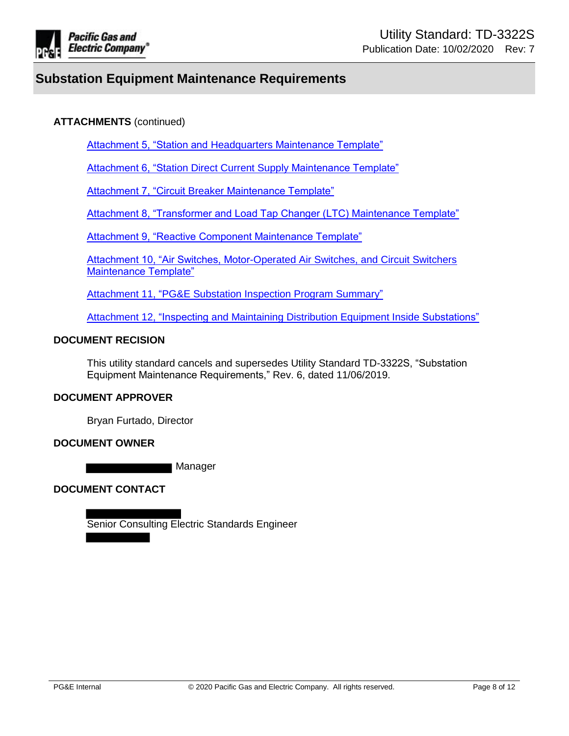

# **ATTACHMENTS** (continued)

[Attachment 5, "Station and Headquarters Maintenance Template"](https://ecmappwlsp01c2.comp.pge.com/TILVIEWER?chronicleId=09131aad80e0931e&vd=false&device=false)

[Attachment 6, "Station Direct Current Supply Maintenance Template"](https://ecmappwlsp01c2.comp.pge.com/TILVIEWER?chronicleId=09131aad80dfca43&vd=false&device=false)

[Attachment 7, "Circuit Breaker Maintenance Template"](https://ecmappwlsp01c2.comp.pge.com/TILVIEWER?chronicleId=09131aad80e054b2&vd=false&device=false)

Attachment 8, "Transformer and [Load Tap Changer \(LTC\) Maintenance Template"](https://ecmappwlsp01c2.comp.pge.com/TILVIEWER?chronicleId=09131aad80e076a4&vd=false&device=false)

Attachment 9, "Reactive [Component Maintenance Template"](https://ecmappwlsp01c2.comp.pge.com/TILVIEWER?chronicleId=09131aad80e054b1&vd=false&device=false)

Attachment 10, "Air Switches, Motor-Operated Air Switches, and Circuit Switchers [Maintenance Template"](https://ecmappwlsp01c2.comp.pge.com/TILVIEWER?chronicleId=09131aad80dfca44&vd=false&device=false)

[Attachment 11, "PG&E Substation Inspection Program Summary"](https://ecmappwlsp01c2.comp.pge.com/TILVIEWER?chronicleId=09131aad80e0040d&vd=false&device=false)

Attachment 12, "Inspecting [and Maintaining Distribution Equipment Inside Substations"](https://ecmappwlsp01c2.comp.pge.com/TILVIEWER?chronicleId=09131aad83b814ab&vd=false&device=false)

## **DOCUMENT RECISION**

This utility standard cancels and supersedes Utility Standard TD-3322S, "Substation Equipment Maintenance Requirements," Rev. 6, dated 11/06/2019.

### **DOCUMENT APPROVER**

Bryan Furtado, Director

### **DOCUMENT OWNER**

Manager

**DOCUMENT CONTACT** 

Senior Consulting Electric Standards Engineer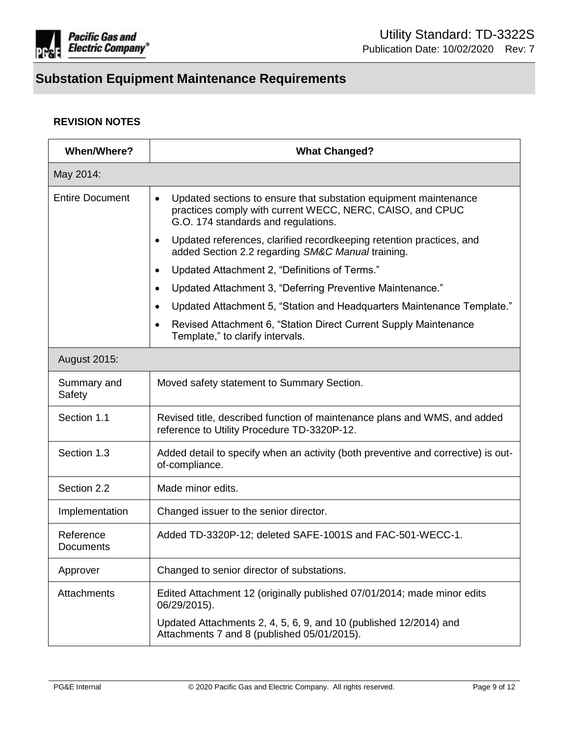

# **REVISION NOTES**

| <b>When/Where?</b>     | <b>What Changed?</b>                                                                                                                                                              |  |  |
|------------------------|-----------------------------------------------------------------------------------------------------------------------------------------------------------------------------------|--|--|
| May 2014:              |                                                                                                                                                                                   |  |  |
| <b>Entire Document</b> | Updated sections to ensure that substation equipment maintenance<br>$\bullet$<br>practices comply with current WECC, NERC, CAISO, and CPUC<br>G.O. 174 standards and regulations. |  |  |
|                        | Updated references, clarified recordkeeping retention practices, and<br>٠<br>added Section 2.2 regarding SM&C Manual training.                                                    |  |  |
|                        | Updated Attachment 2, "Definitions of Terms."<br>$\bullet$                                                                                                                        |  |  |
|                        | Updated Attachment 3, "Deferring Preventive Maintenance."<br>$\bullet$                                                                                                            |  |  |
|                        | Updated Attachment 5, "Station and Headquarters Maintenance Template."<br>$\bullet$                                                                                               |  |  |
|                        | Revised Attachment 6, "Station Direct Current Supply Maintenance<br>Template," to clarify intervals.                                                                              |  |  |
| <b>August 2015:</b>    |                                                                                                                                                                                   |  |  |
| Summary and<br>Safety  | Moved safety statement to Summary Section.                                                                                                                                        |  |  |
| Section 1.1            | Revised title, described function of maintenance plans and WMS, and added<br>reference to Utility Procedure TD-3320P-12.                                                          |  |  |
| Section 1.3            | Added detail to specify when an activity (both preventive and corrective) is out-<br>of-compliance.                                                                               |  |  |
| Section 2.2            | Made minor edits.                                                                                                                                                                 |  |  |
| Implementation         | Changed issuer to the senior director.                                                                                                                                            |  |  |
| Reference<br>Documents | Added TD-3320P-12; deleted SAFE-1001S and FAC-501-WECC-1.                                                                                                                         |  |  |
| Approver               | Changed to senior director of substations.                                                                                                                                        |  |  |
| Attachments            | Edited Attachment 12 (originally published 07/01/2014; made minor edits<br>06/29/2015).                                                                                           |  |  |
|                        | Updated Attachments 2, 4, 5, 6, 9, and 10 (published 12/2014) and<br>Attachments 7 and 8 (published 05/01/2015).                                                                  |  |  |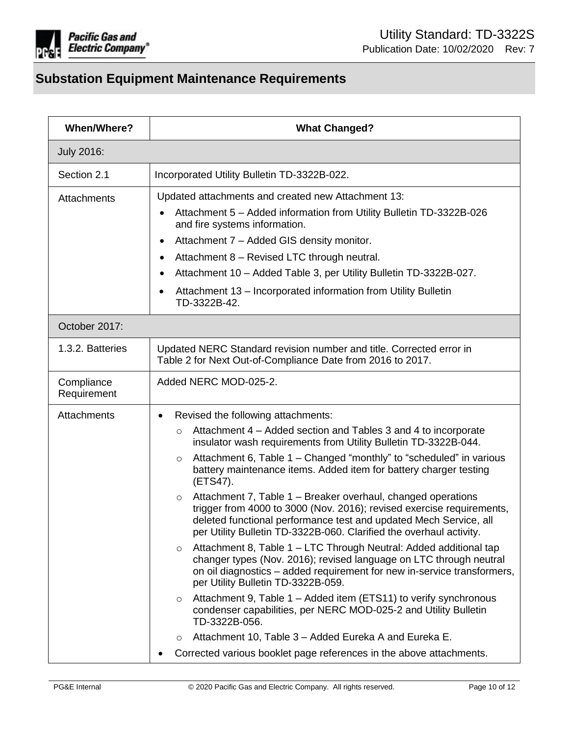

| <b>What Changed?</b>                                                                                                                                                                                                                                                                                                                                                                                                                                                                                                                                                                                                                                                                                                                                                                                                                                                                                                                                                                                                                                                                                                                                                |  |  |
|---------------------------------------------------------------------------------------------------------------------------------------------------------------------------------------------------------------------------------------------------------------------------------------------------------------------------------------------------------------------------------------------------------------------------------------------------------------------------------------------------------------------------------------------------------------------------------------------------------------------------------------------------------------------------------------------------------------------------------------------------------------------------------------------------------------------------------------------------------------------------------------------------------------------------------------------------------------------------------------------------------------------------------------------------------------------------------------------------------------------------------------------------------------------|--|--|
|                                                                                                                                                                                                                                                                                                                                                                                                                                                                                                                                                                                                                                                                                                                                                                                                                                                                                                                                                                                                                                                                                                                                                                     |  |  |
| Incorporated Utility Bulletin TD-3322B-022.                                                                                                                                                                                                                                                                                                                                                                                                                                                                                                                                                                                                                                                                                                                                                                                                                                                                                                                                                                                                                                                                                                                         |  |  |
| Updated attachments and created new Attachment 13:<br>Attachment 5 - Added information from Utility Bulletin TD-3322B-026<br>and fire systems information.<br>Attachment 7 - Added GIS density monitor.<br>$\bullet$<br>Attachment 8 - Revised LTC through neutral.<br>٠<br>Attachment 10 - Added Table 3, per Utility Bulletin TD-3322B-027.<br>$\bullet$<br>Attachment 13 - Incorporated information from Utility Bulletin<br>٠                                                                                                                                                                                                                                                                                                                                                                                                                                                                                                                                                                                                                                                                                                                                   |  |  |
| TD-3322B-42.                                                                                                                                                                                                                                                                                                                                                                                                                                                                                                                                                                                                                                                                                                                                                                                                                                                                                                                                                                                                                                                                                                                                                        |  |  |
|                                                                                                                                                                                                                                                                                                                                                                                                                                                                                                                                                                                                                                                                                                                                                                                                                                                                                                                                                                                                                                                                                                                                                                     |  |  |
| Updated NERC Standard revision number and title. Corrected error in<br>Table 2 for Next Out-of-Compliance Date from 2016 to 2017.                                                                                                                                                                                                                                                                                                                                                                                                                                                                                                                                                                                                                                                                                                                                                                                                                                                                                                                                                                                                                                   |  |  |
| Added NERC MOD-025-2.                                                                                                                                                                                                                                                                                                                                                                                                                                                                                                                                                                                                                                                                                                                                                                                                                                                                                                                                                                                                                                                                                                                                               |  |  |
| Revised the following attachments:<br>Attachment 4 - Added section and Tables 3 and 4 to incorporate<br>$\circ$<br>insulator wash requirements from Utility Bulletin TD-3322B-044.<br>Attachment 6, Table 1 – Changed "monthly" to "scheduled" in various<br>$\circ$<br>battery maintenance items. Added item for battery charger testing<br>(ETS47).<br>Attachment 7, Table 1 – Breaker overhaul, changed operations<br>$\circ$<br>trigger from 4000 to 3000 (Nov. 2016); revised exercise requirements,<br>deleted functional performance test and updated Mech Service, all<br>per Utility Bulletin TD-3322B-060. Clarified the overhaul activity.<br>Attachment 8, Table 1 - LTC Through Neutral: Added additional tap<br>$\circ$<br>changer types (Nov. 2016); revised language on LTC through neutral<br>on oil diagnostics – added requirement for new in-service transformers,<br>per Utility Bulletin TD-3322B-059.<br>Attachment 9, Table 1 – Added item (ETS11) to verify synchronous<br>$\circ$<br>condenser capabilities, per NERC MOD-025-2 and Utility Bulletin<br>TD-3322B-056.<br>Attachment 10, Table 3 - Added Eureka A and Eureka E.<br>$\circ$ |  |  |
|                                                                                                                                                                                                                                                                                                                                                                                                                                                                                                                                                                                                                                                                                                                                                                                                                                                                                                                                                                                                                                                                                                                                                                     |  |  |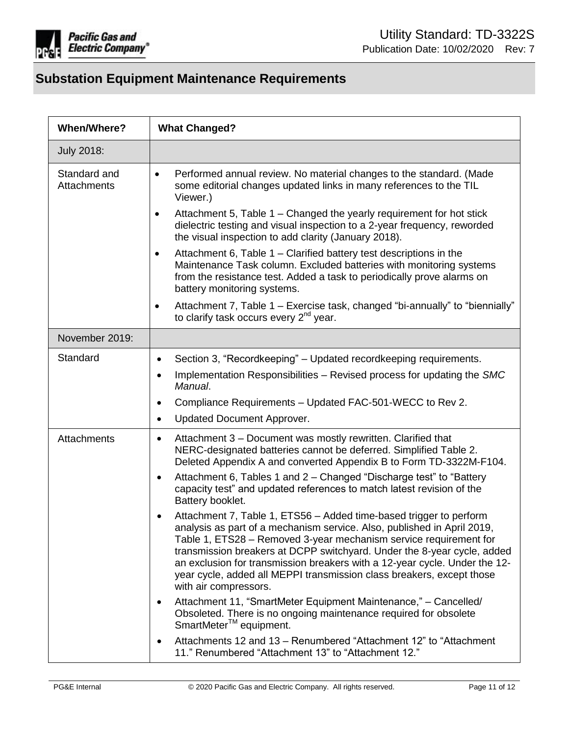

| <b>When/Where?</b>          | <b>What Changed?</b>                                                                                                                                                                                                                                                                                                                                                                                                                                                                       |
|-----------------------------|--------------------------------------------------------------------------------------------------------------------------------------------------------------------------------------------------------------------------------------------------------------------------------------------------------------------------------------------------------------------------------------------------------------------------------------------------------------------------------------------|
| <b>July 2018:</b>           |                                                                                                                                                                                                                                                                                                                                                                                                                                                                                            |
| Standard and<br>Attachments | Performed annual review. No material changes to the standard. (Made<br>٠<br>some editorial changes updated links in many references to the TIL<br>Viewer.)                                                                                                                                                                                                                                                                                                                                 |
|                             | Attachment 5, Table 1 – Changed the yearly requirement for hot stick<br>٠<br>dielectric testing and visual inspection to a 2-year frequency, reworded<br>the visual inspection to add clarity (January 2018).                                                                                                                                                                                                                                                                              |
|                             | Attachment 6, Table 1 - Clarified battery test descriptions in the<br>$\bullet$<br>Maintenance Task column. Excluded batteries with monitoring systems<br>from the resistance test. Added a task to periodically prove alarms on<br>battery monitoring systems.                                                                                                                                                                                                                            |
|                             | Attachment 7, Table 1 – Exercise task, changed "bi-annually" to "biennially"<br>٠<br>to clarify task occurs every 2 <sup>nd</sup> year.                                                                                                                                                                                                                                                                                                                                                    |
| November 2019:              |                                                                                                                                                                                                                                                                                                                                                                                                                                                                                            |
| Standard                    | Section 3, "Recordkeeping" – Updated recordkeeping requirements.<br>$\bullet$                                                                                                                                                                                                                                                                                                                                                                                                              |
|                             | Implementation Responsibilities – Revised process for updating the SMC<br>$\bullet$<br>Manual.                                                                                                                                                                                                                                                                                                                                                                                             |
|                             | Compliance Requirements - Updated FAC-501-WECC to Rev 2.<br>$\bullet$                                                                                                                                                                                                                                                                                                                                                                                                                      |
|                             | <b>Updated Document Approver.</b><br>$\bullet$                                                                                                                                                                                                                                                                                                                                                                                                                                             |
| Attachments                 | Attachment 3 - Document was mostly rewritten. Clarified that<br>$\bullet$<br>NERC-designated batteries cannot be deferred. Simplified Table 2.<br>Deleted Appendix A and converted Appendix B to Form TD-3322M-F104.<br>Attachment 6, Tables 1 and 2 – Changed "Discharge test" to "Battery<br>$\bullet$<br>capacity test" and updated references to match latest revision of the<br>Battery booklet.                                                                                      |
|                             | Attachment 7, Table 1, ETS56 - Added time-based trigger to perform<br>$\bullet$<br>analysis as part of a mechanism service. Also, published in April 2019,<br>Table 1, ETS28 - Removed 3-year mechanism service requirement for<br>transmission breakers at DCPP switchyard. Under the 8-year cycle, added<br>an exclusion for transmission breakers with a 12-year cycle. Under the 12-<br>year cycle, added all MEPPI transmission class breakers, except those<br>with air compressors. |
|                             | Attachment 11, "SmartMeter Equipment Maintenance," - Cancelled/<br>$\bullet$<br>Obsoleted. There is no ongoing maintenance required for obsolete<br>SmartMeter <sup>™</sup> equipment.                                                                                                                                                                                                                                                                                                     |
|                             | Attachments 12 and 13 - Renumbered "Attachment 12" to "Attachment<br>$\bullet$<br>11." Renumbered "Attachment 13" to "Attachment 12."                                                                                                                                                                                                                                                                                                                                                      |